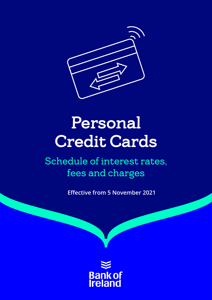

# Personal Credit Cards

Schedule of interest rates, fees and charges

**Effective from 5 November 2021**

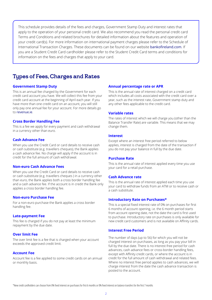This schedule provides details of the fees and charges, Government Stamp Duty and interest rates that apply to the operation of your personal credit card. We also recommend you read the personal credit card Terms and Conditions and related brochures for detailed information about the features and operation of your credit card(s). For more information on international payment charges please refer to the Schedule of International Transaction Charges. These documents can be found on our website [bankofireland.com](http://bankofireland.com). If you are a Student Credit Card cardholder please refer to the Student Credit Card terms and conditions for information on the fees and charges that apply to your card.

### Types of Fees, Charges and Rates

#### **Government Stamp Duty**

This is an annual fee charged by the Government for each credit card account you have. We will collect this fee from your credit card account at the beginning of April each year. If you have more than one credit card on an account, you will still only pay one annual fee for your account. For more details go to [revenue.ie](http://revenue.ie).

#### **Cross Border Handling Fee**

This is a fee we apply for every payment and cash withdrawal in a currency other than euro.

#### **Cash Advance Fee**

When you use the Credit Card or card details to receive cash or cash substitute (e.g. travellers cheques), the Bank applies a cash advance fee. No charge will apply if the account is in credit for the full amount of cash withdrawal.

#### **Non-euro Cash Advance Fees**

When you use the Credit Card or card details to receive cash or cash substitute (e.g. travellers cheques ) in a currency other than euro, the Bank applies both a cross border handling fee and a cash advance fee. If the account is in credit the Bank only applies a cross border handling fee.

#### **Non-euro Purchase Fee**

For a non-euro purchase the Bank applies a cross border handling fee.

#### **Late-payment Fee**

This fee is charged if you do not pay at least the minimum repayment by the due date.

#### **Over limit Fee**

The over limit fee is a fee that is charged when your account exceeds the approved credit limit.

#### **Account Fee**

Account fee is a fee applied to some credit cards on an annual or monthly basis.

#### **Annual percentage rate or APR**

This is the annual rate of interest charged on a credit card which includes all costs associated with the credit card over a year, such as the interest rate, Government stamp duty and any other fees applicable to the credit card.

#### **Variable rates**

The rates of interest which we will charge you (other than the Balance Transfer Rate) are variable. This means that we may change them.

#### **Interest**

Except where an interest free period referred to below applies, interest is charged from the date of the transaction if you do not pay your balance in full by the due date.

#### **Purchase Rate**

This is the annual rate of interest applied every time you use your card for a retail purchase.

#### **Cash Advance rate**

This is the annual rate of interest applied each time you use your card to withdraw funds from an ATM or to receive cash or a cash substitute.

#### **Introductory Rate on Purchases\***

This is a special fixed interest rate of 0% on purchases for first 6 months of account opening, i.e. the 6 month period starts from account opening date, not the date the card is first used to purchase. Introductory rate on purchases is only available for new credit card customers and is not available on Affinity cards.

#### **Interest Free Period**

The number of days (up to 56) for which you will not be charged interest on purchases, as long as you pay your bill in full by the due date. There is no interest-free period for cash advances, cash advance fees or cross-border handling fees, except with Affinity credit cards, or where the account is in credit for the full amount of cash withdrawal and related fees. Where no interest free period applies to cash advances, we will charge interest from the date the cash advance transaction is posted to the account.

\*New credit cardholders can choose from 0% fixed interest on purchases for first 6 months or 0% fixed interest on balance transfers for the first 7 months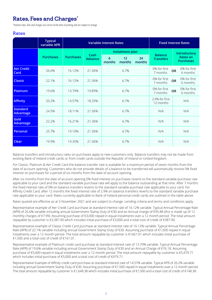# Rates, Fees and Charges\*

\*Interest rates, fees and charges are correct at the time of printing and are subject to change

#### Rates

|                                     | <b>Typical</b><br>variable APR |                  | <b>Variable Interest Rates</b> | <b>Fixed Interest Rates</b> |              |              |                                    |                                       |  |
|-------------------------------------|--------------------------------|------------------|--------------------------------|-----------------------------|--------------|--------------|------------------------------------|---------------------------------------|--|
|                                     |                                |                  | Cash<br><b>Advance</b>         | Instalment plan             |              |              |                                    | Introductory                          |  |
|                                     | <b>Purchases</b>               | <b>Purchases</b> |                                | 6<br>months                 | 12<br>months | 24<br>months | <b>Balance</b><br><b>Transfers</b> | <b>Rates on</b><br><b>Purchases</b>   |  |
| <b>Aer Credit</b><br>Card           | 26.6%                          | 16.12%           | 21.36%                         |                             | 6.7%         |              | 0% for first<br>7 months           | 0% for first<br><b>OR</b><br>6 months |  |
| <b>Classic</b>                      | 22.1%                          | 16.12%           | 21.36%                         | 6.7%                        |              |              | 0% for first<br>7 months           | 0% for first<br><b>OR</b><br>6 months |  |
| <b>Platinum</b>                     | 19.6%                          | 13.79%           | 19.89%                         | 6.7%                        |              |              | 0% for first<br>7 months           | 0% for first<br><b>OR</b><br>6 months |  |
| <b>Affinity</b>                     | 20.2%                          | 14.57%           | 18.33%                         | 6.7%                        |              |              | 2.9% for first<br>12 months        | N/A                                   |  |
| <b>Standard</b><br><b>Advantage</b> | 24.5%                          | 18.11%           | 21.36%                         | 6.7%                        |              | N/A          | N/A                                |                                       |  |
| Gold<br><b>Advantage</b>            | 22.2%                          | 16.21%           | 21.36%                         | 6.7%                        |              | N/A          | N/A                                |                                       |  |
| Personal                            | 25.7%                          | 19.10%           | 21.36%                         | 6.7%                        |              | N/A          | N/A                                |                                       |  |
| Clear                               | 19.9%                          | 14.35%           | 21.36%                         | 6.7%                        |              | N/A          | N/A                                |                                       |  |

Balance transfers and introductory rates on purchases apply to new customers only. Balance transfers may not be made from existing Bank of Ireland credit cards or from credit cards outside the Republic of Ireland or United Kingdom.

For Classic, Platinum & Aer Credit Card the balance transfer rate is available for a maximum period of seven months from the date of account opening. Customers who do not provide details of a balance to be transferred will automatically receive 0% fixed interest on purchases for a period of six months from the date of account opening.

After six months from the date of account opening 0% fixed interest on purchases reverts to the standard variable purchase rate applicable to your card and the standard variable purchase rate will apply to the balance outstanding at that time. After 7 months the fixed interest rate of 0% on balance transfers reverts to the standard variable purchase rate applicable to your card. For Affinity Credit Card, after 12 months the fixed interest rate of 2.9% on balance transfers reverts to the standard variable purchase rate applicable to your card. Rates currently applicable to Bank of Ireland personal credit cards are outlined in the table above.

Rates quoted are effective as at 5 November 2021 and are subject to change. Lending criteria and terms and conditions apply.

Representative example of Aer Credit Card purchase at standard interest rate of 16.12% variable. Typical Annual Percentage Rate (APR) of 26.6% variable including annual Government Stamp Duty of €30 and an Annual charge of €95.88 (this is made up of 12 monthly charges of €7.99). Assuming purchase of €3,000 repaid in equal instalments over a 12 month period. The total amount repayable by customer is €3,387.90 which includes initial purchase of €3,000 and a total cost of credit of €387.90.

Representative example of Classic Credit Card purchase at standard interest rate of 16.12% variable. Typical Annual Percentage Rate (APR) of 22.1% variable including annual Government Stamp Duty of €30. Assuming purchase of €1,500 repaid in equal instalments over a 12 month period. The total amount repayable by customer is €1661.01 which includes initial purchase of €1,500 and a total cost of credit of €161.01.

Representative example of Platinum credit card purchase at standard interest rate of 13.79% variable. Typical Annual Percentage Rate (APR) of 19.6% variable including annual Government Stamp Duty of €30 and an Annual Charge of €76.18. Assuming purchase of €5,000 repaid in equal instalments over a 12 month period. The total amount repayable by customer is €5,479.71 which includes initial purchase of €5,000 and a total cost of credit of €479.71.

Representative Example of Affinity credit card purchase at standard interest rate of 14.57% variable. Typical APR of 20.2% variable including annual Government Stamp Duty of €30. Assuming purchase of €1,500 repaid in equal instalments over a 12 month period. The total amount repayable by customer is €1,648.38 which includes initial purchase of €1,500 and a total cost of credit of €148.38.